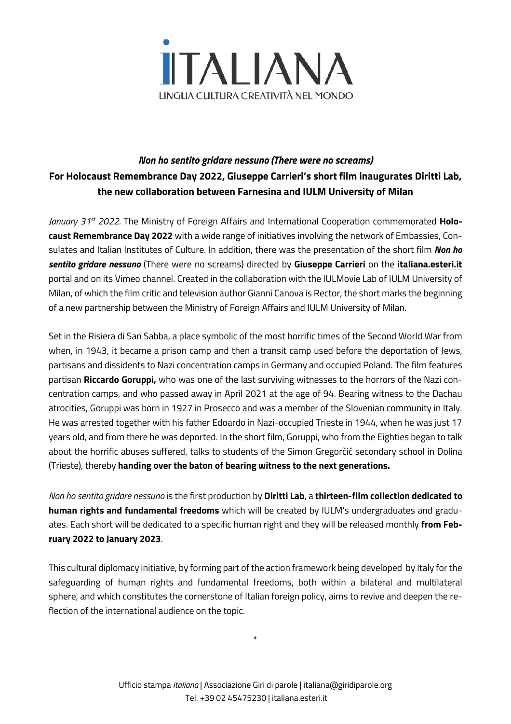

## *Non ho sentito gridare nessuno (There were no screams)* **For Holocaust Remembrance Day 2022, Giuseppe Carrieri's short film inaugurates Diritti Lab, the new collaboration between Farnesina and IULM University of Milan**

*January 31st 2022.* The Ministry of Foreign Affairs and International Cooperation commemorated **Holocaust Remembrance Day 2022** with a wide range of initiatives involving the network of Embassies, Consulates and Italian Institutes of Culture. In addition, there was the presentation of the short film *Non ho sentito gridare nessuno* (There were no screams) directed by **Giuseppe Carrieri** on the **italiana.esteri.it** portal and on its Vimeo channel. Created in the collaboration with the IULMovie Lab of IULM University of Milan, of which the film critic and television author Gianni Canova is Rector, the short marks the beginning of a new partnership between the Ministry of Foreign Affairs and IULM University of Milan.

Set in the Risiera di San Sabba, a place symbolic of the most horrific times of the Second World War from when, in 1943, it became a prison camp and then a transit camp used before the deportation of Jews, partisans and dissidents to Nazi concentration camps in Germany and occupied Poland. The film features partisan **Riccardo Goruppi,** who was one of the last surviving witnesses to the horrors of the Nazi concentration camps, and who passed away in April 2021 at the age of 94. Bearing witness to the Dachau atrocities, Goruppi was born in 1927 in Prosecco and was a member of the Slovenian community in Italy. He was arrested together with his father Edoardo in Nazi-occupied Trieste in 1944, when he was just 17 years old, and from there he was deported. In the short film, Goruppi, who from the Eighties began to talk about the horrific abuses suffered, talks to students of the Simon Gregorčič secondary school in Dolina (Trieste), thereby **handing over the baton of bearing witness to the next generations.**

*Non ho sentito gridare nessuno* is the first production by **Diritti Lab**, a **thirteen-film collection dedicated to human rights and fundamental freedoms** which will be created by IULM's undergraduates and graduates. Each short will be dedicated to a specific human right and they will be released monthly **from February 2022 to January 2023**.

This cultural diplomacy initiative, by forming part of the action framework being developed by Italy for the safeguarding of human rights and fundamental freedoms, both within a bilateral and multilateral sphere, and which constitutes the cornerstone of Italian foreign policy, aims to revive and deepen the reflection of the international audience on the topic.

\*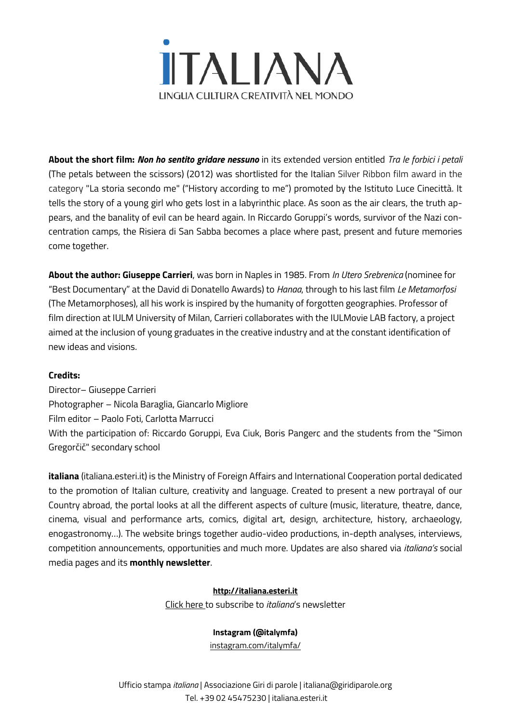

**About the short film:** *Non ho sentito gridare nessuno* in its extended version entitled *Tra le forbici i petali* (The petals between the scissors) (2012) was shortlisted for the Italian Silver Ribbon film award in the category "La storia secondo me" ("History according to me") promoted by the Istituto Luce Cinecittà. It tells the story of a young girl who gets lost in a labyrinthic place. As soon as the air clears, the truth appears, and the banality of evil can be heard again. In Riccardo Goruppi's words, survivor of the Nazi concentration camps, the Risiera di San Sabba becomes a place where past, present and future memories come together.

**About the author: Giuseppe Carrieri**, was born in Naples in 1985. From *In Utero Srebrenica* (nominee for "Best Documentary" at the David di Donatello Awards) to *Hanaa*, through to his last film *Le Metamorfosi* (The Metamorphoses), all his work is inspired by the humanity of forgotten geographies. Professor of film direction at IULM University of Milan, Carrieri collaborates with the IULMovie LAB factory, a project aimed at the inclusion of young graduates in the creative industry and at the constant identification of new ideas and visions.

## **Credits:**

Director– Giuseppe Carrieri Photographer – Nicola Baraglia, Giancarlo Migliore Film editor – Paolo Foti, Carlotta Marrucci With the participation of: Riccardo Goruppi, Eva Ciuk, Boris Pangerc and the students from the "Simon Gregorčič" secondary school

**italiana** [\(italiana.esteri.it\)](http://italiana.esteri.it/) is the Ministry of Foreign Affairs and International Cooperation portal dedicated to the promotion of Italian culture, creativity and language. Created to present a new portrayal of our Country abroad, the portal looks at all the different aspects of culture (music, literature, theatre, dance, cinema, visual and performance arts, comics, digital art, design, architecture, history, archaeology, enogastronomy…). The website brings together audio-video productions, in-depth analyses, interviews, competition announcements, opportunities and much more. Updates are also shared via *italiana's* social media pages and its **monthly newsletter**.

## **[http://italiana.esteri.it](http://italiana.esteri.it/)**

[Click](http://a5a5e5.mailupclient.com/frontend/forms/Subscription.aspx?idList=1&idForm=1&guid=aafa5375-bcf1-4e06-965a-e3a98b626156) here to subscribe to *italiana*'s newsletter

## **Instagram (@italymfa)**

[instagram.com/italymfa/](https://www.instagram.com/italymfa/)